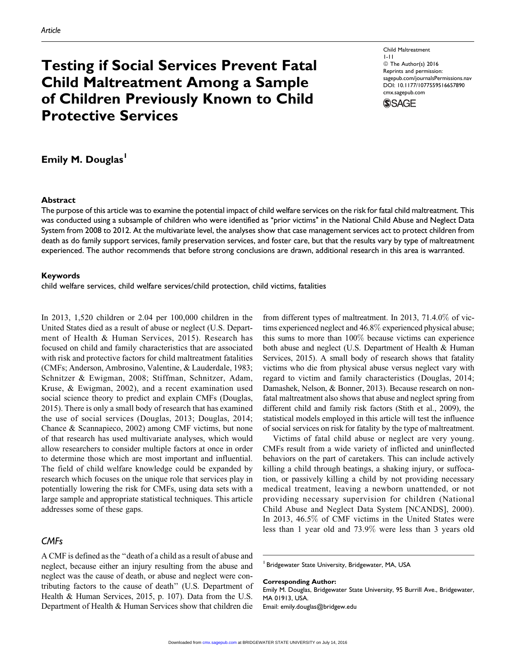# Testing if Social Services Prevent Fatal Child Maltreatment Among a Sample of Children Previously Known to Child Protective Services

Child Maltreatment 1-11 © The Author(s) 2016 Reprints and permission: [sagepub.com/journalsPermissions.nav](http://www.sagepub.com/journalsPermissions.nav) DOI: 10.1177/1077559516657890 [cmx.sagepub.com](http://cmx.sagepub.com)



Emily M. Douglas<sup>1</sup>

#### Abstract

The purpose of this article was to examine the potential impact of child welfare services on the risk for fatal child maltreatment. This was conducted using a subsample of children who were identified as "prior victims" in the National Child Abuse and Neglect Data System from 2008 to 2012. At the multivariate level, the analyses show that case management services act to protect children from death as do family support services, family preservation services, and foster care, but that the results vary by type of maltreatment experienced. The author recommends that before strong conclusions are drawn, additional research in this area is warranted.

#### Keywords

child welfare services, child welfare services/child protection, child victims, fatalities

In 2013, 1,520 children or 2.04 per 100,000 children in the United States died as a result of abuse or neglect (U.S. Department of Health & Human Services, 2015). Research has focused on child and family characteristics that are associated with risk and protective factors for child maltreatment fatalities (CMFs; Anderson, Ambrosino, Valentine, & Lauderdale, 1983; Schnitzer & Ewigman, 2008; Stiffman, Schnitzer, Adam, Kruse, & Ewigman, 2002), and a recent examination used social science theory to predict and explain CMFs (Douglas, 2015). There is only a small body of research that has examined the use of social services (Douglas, 2013; Douglas, 2014; Chance & Scannapieco, 2002) among CMF victims, but none of that research has used multivariate analyses, which would allow researchers to consider multiple factors at once in order to determine those which are most important and influential. The field of child welfare knowledge could be expanded by research which focuses on the unique role that services play in potentially lowering the risk for CMFs, using data sets with a large sample and appropriate statistical techniques. This article addresses some of these gaps.

# CMFs

A CMF is defined as the ''death of a child as a result of abuse and neglect, because either an injury resulting from the abuse and neglect was the cause of death, or abuse and neglect were contributing factors to the cause of death'' (U.S. Department of Health & Human Services, 2015, p. 107). Data from the U.S. Department of Health & Human Services show that children die

from different types of maltreatment. In 2013, 71.4.0% of victims experienced neglect and 46.8% experienced physical abuse; this sums to more than 100% because victims can experience both abuse and neglect (U.S. Department of Health & Human Services, 2015). A small body of research shows that fatality victims who die from physical abuse versus neglect vary with regard to victim and family characteristics (Douglas, 2014; Damashek, Nelson, & Bonner, 2013). Because research on nonfatal maltreatment also shows that abuse and neglect spring from different child and family risk factors (Stith et al., 2009), the statistical models employed in this article will test the influence of social services on risk for fatality by the type of maltreatment.

Victims of fatal child abuse or neglect are very young. CMFs result from a wide variety of inflicted and uninflected behaviors on the part of caretakers. This can include actively killing a child through beatings, a shaking injury, or suffocation, or passively killing a child by not providing necessary medical treatment, leaving a newborn unattended, or not providing necessary supervision for children (National Child Abuse and Neglect Data System [NCANDS], 2000). In 2013, 46.5% of CMF victims in the United States were less than 1 year old and 73.9% were less than 3 years old

<sup>1</sup> Bridgewater State University, Bridgewater, MA, USA

#### Corresponding Author:

Emily M. Douglas, Bridgewater State University, 95 Burrill Ave., Bridgewater, MA 01913, USA. Email: emily.douglas@bridgew.edu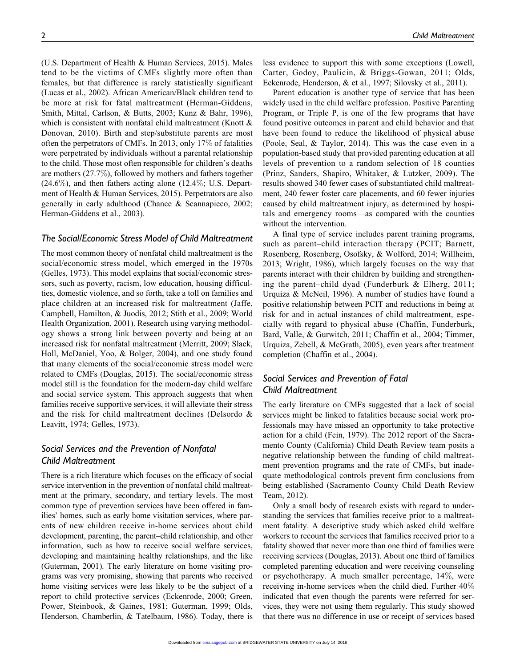(U.S. Department of Health & Human Services, 2015). Males tend to be the victims of CMFs slightly more often than females, but that difference is rarely statistically significant (Lucas et al., 2002). African American/Black children tend to be more at risk for fatal maltreatment (Herman-Giddens, Smith, Mittal, Carlson, & Butts, 2003; Kunz & Bahr, 1996), which is consistent with nonfatal child maltreatment (Knott  $\&$ Donovan, 2010). Birth and step/substitute parents are most often the perpetrators of CMFs. In 2013, only 17% of fatalities were perpetrated by individuals without a parental relationship to the child. Those most often responsible for children's deaths are mothers (27.7%), followed by mothers and fathers together  $(24.6\%)$ , and then fathers acting alone  $(12.4\%; U.S.$  Department of Health & Human Services, 2015). Perpetrators are also generally in early adulthood (Chance & Scannapieco, 2002; Herman-Giddens et al., 2003).

# The Social/Economic Stress Model of Child Maltreatment

The most common theory of nonfatal child maltreatment is the social/economic stress model, which emerged in the 1970s (Gelles, 1973). This model explains that social/economic stressors, such as poverty, racism, low education, housing difficulties, domestic violence, and so forth, take a toll on families and place children at an increased risk for maltreatment (Jaffe, Campbell, Hamilton, & Juodis, 2012; Stith et al., 2009; World Health Organization, 2001). Research using varying methodology shows a strong link between poverty and being at an increased risk for nonfatal maltreatment (Merritt, 2009; Slack, Holl, McDaniel, Yoo, & Bolger, 2004), and one study found that many elements of the social/economic stress model were related to CMFs (Douglas, 2015). The social/economic stress model still is the foundation for the modern-day child welfare and social service system. This approach suggests that when families receive supportive services, it will alleviate their stress and the risk for child maltreatment declines (Delsordo & Leavitt, 1974; Gelles, 1973).

# Social Services and the Prevention of Nonfatal Child Maltreatment

There is a rich literature which focuses on the efficacy of social service intervention in the prevention of nonfatal child maltreatment at the primary, secondary, and tertiary levels. The most common type of prevention services have been offered in families' homes, such as early home visitation services, where parents of new children receive in-home services about child development, parenting, the parent–child relationship, and other information, such as how to receive social welfare services, developing and maintaining healthy relationships, and the like (Guterman, 2001). The early literature on home visiting programs was very promising, showing that parents who received home visiting services were less likely to be the subject of a report to child protective services (Eckenrode, 2000; Green, Power, Steinbook, & Gaines, 1981; Guterman, 1999; Olds, Henderson, Chamberlin, & Tatelbaum, 1986). Today, there is less evidence to support this with some exceptions (Lowell, Carter, Godoy, Paulicin, & Briggs-Gowan, 2011; Olds, Eckenrode, Henderson, & et al., 1997; Silovsky et al., 2011).

Parent education is another type of service that has been widely used in the child welfare profession. Positive Parenting Program, or Triple P, is one of the few programs that have found positive outcomes in parent and child behavior and that have been found to reduce the likelihood of physical abuse (Poole, Seal, & Taylor, 2014). This was the case even in a population-based study that provided parenting education at all levels of prevention to a random selection of 18 counties (Prinz, Sanders, Shapiro, Whitaker, & Lutzker, 2009). The results showed 340 fewer cases of substantiated child maltreatment, 240 fewer foster care placements, and 60 fewer injuries caused by child maltreatment injury, as determined by hospitals and emergency rooms—as compared with the counties without the intervention.

A final type of service includes parent training programs, such as parent–child interaction therapy (PCIT; Barnett, Rosenberg, Rosenberg, Osofsky, & Wolford, 2014; Willheim, 2013; Wright, 1986), which largely focuses on the way that parents interact with their children by building and strengthening the parent–child dyad (Funderburk & Elherg, 2011; Urquiza & McNeil, 1996). A number of studies have found a positive relationship between PCIT and reductions in being at risk for and in actual instances of child maltreatment, especially with regard to physical abuse (Chaffin, Funderburk, Bard, Valle, & Gurwitch, 2011; Chaffin et al., 2004; Timmer, Urquiza, Zebell, & McGrath, 2005), even years after treatment completion (Chaffin et al., 2004).

# Social Services and Prevention of Fatal Child Maltreatment

The early literature on CMFs suggested that a lack of social services might be linked to fatalities because social work professionals may have missed an opportunity to take protective action for a child (Fein, 1979). The 2012 report of the Sacramento County (California) Child Death Review team posits a negative relationship between the funding of child maltreatment prevention programs and the rate of CMFs, but inadequate methodological controls prevent firm conclusions from being established (Sacramento County Child Death Review Team, 2012).

Only a small body of research exists with regard to understanding the services that families receive prior to a maltreatment fatality. A descriptive study which asked child welfare workers to recount the services that families received prior to a fatality showed that never more than one third of families were receiving services (Douglas, 2013). About one third of families completed parenting education and were receiving counseling or psychotherapy. A much smaller percentage, 14%, were receiving in-home services when the child died. Further 40% indicated that even though the parents were referred for services, they were not using them regularly. This study showed that there was no difference in use or receipt of services based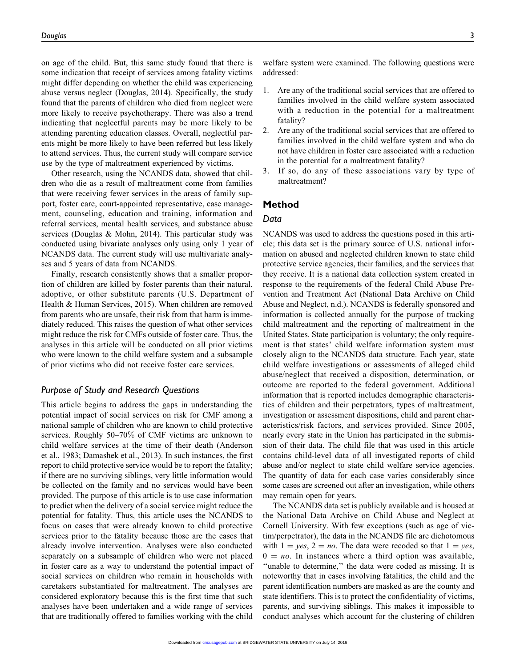on age of the child. But, this same study found that there is some indication that receipt of services among fatality victims might differ depending on whether the child was experiencing abuse versus neglect (Douglas, 2014). Specifically, the study found that the parents of children who died from neglect were more likely to receive psychotherapy. There was also a trend indicating that neglectful parents may be more likely to be attending parenting education classes. Overall, neglectful parents might be more likely to have been referred but less likely to attend services. Thus, the current study will compare service use by the type of maltreatment experienced by victims.

Other research, using the NCANDS data, showed that children who die as a result of maltreatment come from families that were receiving fewer services in the areas of family support, foster care, court-appointed representative, case management, counseling, education and training, information and referral services, mental health services, and substance abuse services (Douglas & Mohn, 2014). This particular study was conducted using bivariate analyses only using only 1 year of NCANDS data. The current study will use multivariate analyses and 5 years of data from NCANDS.

Finally, research consistently shows that a smaller proportion of children are killed by foster parents than their natural, adoptive, or other substitute parents (U.S. Department of Health & Human Services, 2015). When children are removed from parents who are unsafe, their risk from that harm is immediately reduced. This raises the question of what other services might reduce the risk for CMFs outside of foster care. Thus, the analyses in this article will be conducted on all prior victims who were known to the child welfare system and a subsample of prior victims who did not receive foster care services.

#### Purpose of Study and Research Questions

This article begins to address the gaps in understanding the potential impact of social services on risk for CMF among a national sample of children who are known to child protective services. Roughly 50–70% of CMF victims are unknown to child welfare services at the time of their death (Anderson et al., 1983; Damashek et al., 2013). In such instances, the first report to child protective service would be to report the fatality; if there are no surviving siblings, very little information would be collected on the family and no services would have been provided. The purpose of this article is to use case information to predict when the delivery of a social service might reduce the potential for fatality. Thus, this article uses the NCANDS to focus on cases that were already known to child protective services prior to the fatality because those are the cases that already involve intervention. Analyses were also conducted separately on a subsample of children who were not placed in foster care as a way to understand the potential impact of social services on children who remain in households with caretakers substantiated for maltreatment. The analyses are considered exploratory because this is the first time that such analyses have been undertaken and a wide range of services that are traditionally offered to families working with the child

welfare system were examined. The following questions were addressed:

- 1. Are any of the traditional social services that are offered to families involved in the child welfare system associated with a reduction in the potential for a maltreatment fatality?
- 2. Are any of the traditional social services that are offered to families involved in the child welfare system and who do not have children in foster care associated with a reduction in the potential for a maltreatment fatality?
- 3. If so, do any of these associations vary by type of maltreatment?

## Method

## Data

NCANDS was used to address the questions posed in this article; this data set is the primary source of U.S. national information on abused and neglected children known to state child protective service agencies, their families, and the services that they receive. It is a national data collection system created in response to the requirements of the federal Child Abuse Prevention and Treatment Act (National Data Archive on Child Abuse and Neglect, n.d.). NCANDS is federally sponsored and information is collected annually for the purpose of tracking child maltreatment and the reporting of maltreatment in the United States. State participation is voluntary; the only requirement is that states' child welfare information system must closely align to the NCANDS data structure. Each year, state child welfare investigations or assessments of alleged child abuse/neglect that received a disposition, determination, or outcome are reported to the federal government. Additional information that is reported includes demographic characteristics of children and their perpetrators, types of maltreatment, investigation or assessment dispositions, child and parent characteristics/risk factors, and services provided. Since 2005, nearly every state in the Union has participated in the submission of their data. The child file that was used in this article contains child-level data of all investigated reports of child abuse and/or neglect to state child welfare service agencies. The quantity of data for each case varies considerably since some cases are screened out after an investigation, while others may remain open for years.

The NCANDS data set is publicly available and is housed at the National Data Archive on Child Abuse and Neglect at Cornell University. With few exceptions (such as age of victim/perpetrator), the data in the NCANDS file are dichotomous with  $1 = yes$ ,  $2 = no$ . The data were recoded so that  $1 = yes$ ,  $0 = no$ . In instances where a third option was available, ''unable to determine,'' the data were coded as missing. It is noteworthy that in cases involving fatalities, the child and the parent identification numbers are masked as are the county and state identifiers. This is to protect the confidentiality of victims, parents, and surviving siblings. This makes it impossible to conduct analyses which account for the clustering of children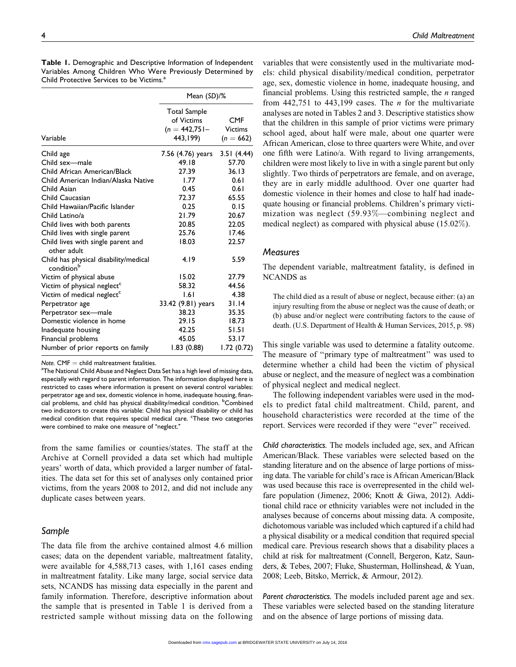| Table 1. Demographic and Descriptive Information of Independent |
|-----------------------------------------------------------------|
| Variables Among Children Who Were Previously Determined by      |
| Child Protective Services to be Victims. <sup>4</sup>           |

|                                                                 | Mean (SD)/%                                                      |                                             |  |  |  |
|-----------------------------------------------------------------|------------------------------------------------------------------|---------------------------------------------|--|--|--|
| Variable                                                        | <b>Total Sample</b><br>of Victims<br>$(n = 442,751)$<br>443,199) | <b>CMF</b><br><b>Victims</b><br>$(n = 662)$ |  |  |  |
| Child age                                                       | 7.56 (4.76) years                                                | 3.51(4.44)                                  |  |  |  |
| Child sex-male                                                  | 49.18                                                            | 57.70                                       |  |  |  |
| Child African American/Black                                    | 27.39                                                            | 36.13                                       |  |  |  |
| Child American Indian/Alaska Native                             | 1.77                                                             | 0.61                                        |  |  |  |
| Child Asian                                                     | 0.45                                                             | 0.61                                        |  |  |  |
| Child Caucasian                                                 | 72.37                                                            | 65.55                                       |  |  |  |
| Child Hawaiian/Pacific Islander                                 | 0.25                                                             | 0.15                                        |  |  |  |
| Child Latino/a                                                  | 21.79                                                            | 20.67                                       |  |  |  |
| Child lives with both parents                                   | 20.85                                                            | 22.05                                       |  |  |  |
| Child lives with single parent                                  | 25.76                                                            | 17.46                                       |  |  |  |
| Child lives with single parent and<br>other adult               | 18.03                                                            | 22.57                                       |  |  |  |
| Child has physical disability/medical<br>condition <sup>b</sup> | 4.19                                                             | 5.59                                        |  |  |  |
| Victim of physical abuse                                        | 15.02                                                            | 27.79                                       |  |  |  |
| Victim of physical neglect <sup>c</sup>                         | 58.32                                                            | 44.56                                       |  |  |  |
| Victim of medical neglect <sup>c</sup>                          | 1.61                                                             | 4.38                                        |  |  |  |
| Perpetrator age                                                 | 33.42 (9.81) years                                               | 31.14                                       |  |  |  |
| Perpetrator sex-male                                            | 38.23                                                            | 35.35                                       |  |  |  |
| Domestic violence in home                                       | 29.15                                                            | 18.73                                       |  |  |  |
| Inadequate housing                                              | 42.25                                                            | 51.51                                       |  |  |  |
| Financial problems                                              | 45.05                                                            | 53.17                                       |  |  |  |
| Number of prior reports on family                               | 1.83(0.88)                                                       | 1.72(0.72)                                  |  |  |  |

Note.  $CMF =$  child maltreatment fatalities.

<sup>a</sup>The National Child Abuse and Neglect Data Set has a high level of missing data, especially with regard to parent information. The information displayed here is restricted to cases where information is present on several control variables: perpetrator age and sex, domestic violence in home, inadequate housing, financial problems, and child has physical disability/medical condition. <sup>b</sup>Combined two indicators to create this variable: Child has physical disability or child has medical condition that requires special medical care. <sup>c</sup>These two categories were combined to make one measure of "neglect."

from the same families or counties/states. The staff at the Archive at Cornell provided a data set which had multiple years' worth of data, which provided a larger number of fatalities. The data set for this set of analyses only contained prior victims, from the years 2008 to 2012, and did not include any duplicate cases between years.

#### Sample

The data file from the archive contained almost 4.6 million cases; data on the dependent variable, maltreatment fatality, were available for 4,588,713 cases, with 1,161 cases ending in maltreatment fatality. Like many large, social service data sets, NCANDS has missing data especially in the parent and family information. Therefore, descriptive information about the sample that is presented in Table 1 is derived from a restricted sample without missing data on the following

variables that were consistently used in the multivariate models: child physical disability/medical condition, perpetrator age, sex, domestic violence in home, inadequate housing, and financial problems. Using this restricted sample, the  $n$  ranged from  $442,751$  to  $443,199$  cases. The *n* for the multivariate analyses are noted in Tables 2 and 3. Descriptive statistics show that the children in this sample of prior victims were primary school aged, about half were male, about one quarter were African American, close to three quarters were White, and over one fifth were Latino/a. With regard to living arrangements, children were most likely to live in with a single parent but only slightly. Two thirds of perpetrators are female, and on average, they are in early middle adulthood. Over one quarter had domestic violence in their homes and close to half had inadequate housing or financial problems. Children's primary victimization was neglect (59.93%—combining neglect and medical neglect) as compared with physical abuse (15.02%).

#### **Measures**

The dependent variable, maltreatment fatality, is defined in NCANDS as

The child died as a result of abuse or neglect, because either: (a) an injury resulting from the abuse or neglect was the cause of death; or (b) abuse and/or neglect were contributing factors to the cause of death. (U.S. Department of Health & Human Services, 2015, p. 98)

This single variable was used to determine a fatality outcome. The measure of ''primary type of maltreatment'' was used to determine whether a child had been the victim of physical abuse or neglect, and the measure of neglect was a combination of physical neglect and medical neglect.

The following independent variables were used in the models to predict fatal child maltreatment. Child, parent, and household characteristics were recorded at the time of the report. Services were recorded if they were ''ever'' received.

Child characteristics. The models included age, sex, and African American/Black. These variables were selected based on the standing literature and on the absence of large portions of missing data. The variable for child's race is African American/Black was used because this race is overrepresented in the child welfare population (Jimenez, 2006; Knott & Giwa, 2012). Additional child race or ethnicity variables were not included in the analyses because of concerns about missing data. A composite, dichotomous variable was included which captured if a child had a physical disability or a medical condition that required special medical care. Previous research shows that a disability places a child at risk for maltreatment (Connell, Bergeron, Katz, Saunders, & Tebes, 2007; Fluke, Shusterman, Hollinshead, & Yuan, 2008; Leeb, Bitsko, Merrick, & Armour, 2012).

Parent characteristics. The models included parent age and sex. These variables were selected based on the standing literature and on the absence of large portions of missing data.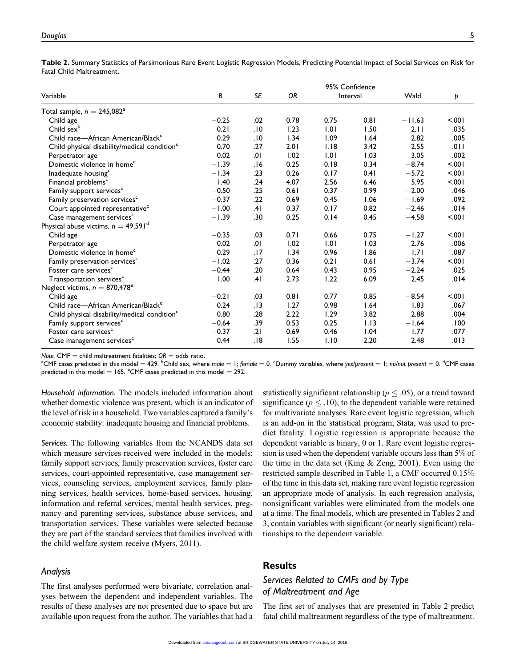|                           | Table 2. Summary Statistics of Parsimonious Rare Event Logistic Regression Models, Predicting Potential Impact of Social Services on Risk for |  |  |  |
|---------------------------|-----------------------------------------------------------------------------------------------------------------------------------------------|--|--|--|
| Fatal Child Maltreatment. |                                                                                                                                               |  |  |  |

|                                                          | 95% Confidence |           |           |          |      |          |        |
|----------------------------------------------------------|----------------|-----------|-----------|----------|------|----------|--------|
| Variable                                                 | В              | <b>SE</b> | <b>OR</b> | Interval |      | Wald     | Þ      |
| Total sample, $n = 245,082^a$                            |                |           |           |          |      |          |        |
| Child age                                                | $-0.25$        | .02       | 0.78      | 0.75     | 0.81 | $-11.63$ | < .001 |
| Child sex <sup>b</sup>                                   | 0.21           | .10       | 1.23      | 1.01     | 1.50 | 2.11     | .035   |
| Child race-African American/Black <sup>c</sup>           | 0.29           | .10       | 1.34      | 1.09     | 1.64 | 2.82     | .005   |
| Child physical disability/medical condition <sup>c</sup> | 0.70           | .27       | 2.01      | 1.18     | 3.42 | 2.55     | .011   |
| Perpetrator age                                          | 0.02           | 10.       | 1.02      | 1.01     | 1.03 | 3.05     | .002   |
| Domestic violence in home <sup>c</sup>                   | $-1.39$        | .16       | 0.25      | 0.18     | 0.34 | $-8.74$  | < .001 |
| Inadequate housing <sup>c</sup>                          | $-1.34$        | .23       | 0.26      | 0.17     | 0.41 | $-5.72$  | < .001 |
| Financial problems <sup>c</sup>                          | 1.40           | .24       | 4.07      | 2.56     | 6.46 | 5.95     | < .001 |
| Family support services <sup>c</sup>                     | $-0.50$        | .25       | 0.61      | 0.37     | 0.99 | $-2.00$  | .046   |
| Family preservation services <sup>c</sup>                | $-0.37$        | .22       | 0.69      | 0.45     | 1.06 | $-1.69$  | .092   |
| Court appointed representative <sup>c</sup>              | $-1.00$        | .41       | 0.37      | 0.17     | 0.82 | $-2.46$  | .014   |
| Case management services <sup>c</sup>                    | $-1.39$        | .30       | 0.25      | 0.14     | 0.45 | $-4.58$  | < .001 |
| Physical abuse victims, $n = 49,591^d$                   |                |           |           |          |      |          |        |
| Child age                                                | $-0.35$        | .03       | 0.71      | 0.66     | 0.75 | $-1.27$  | < .001 |
| Perpetrator age                                          | 0.02           | .01       | 1.02      | 1.01     | 1.03 | 2.76     | .006   |
| Domestic violence in home <sup>c</sup>                   | 0.29           | .17       | 1.34      | 0.96     | 1.86 | 1.71     | .087   |
| Family preservation services <sup>c</sup>                | $-1.02$        | .27       | 0.36      | 0.21     | 0.61 | $-3.74$  | < .001 |
| Foster care services <sup>c</sup>                        | $-0.44$        | .20       | 0.64      | 0.43     | 0.95 | $-2.24$  | .025   |
| Transportation services <sup>c</sup>                     | 1.00           | .41       | 2.73      | 1.22     | 6.09 | 2.45     | .014   |
| Neglect victims, $n = 870,478^{\circ}$                   |                |           |           |          |      |          |        |
| Child age                                                | $-0.21$        | .03       | 0.81      | 0.77     | 0.85 | $-8.54$  | < .001 |
| Child race-African American/Black <sup>c</sup>           | 0.24           | .13       | 1.27      | 0.98     | 1.64 | 1.83     | .067   |
| Child physical disability/medical condition <sup>c</sup> | 0.80           | .28       | 2.22      | 1.29     | 3.82 | 2.88     | .004   |
| Family support services <sup>c</sup>                     | $-0.64$        | .39       | 0.53      | 0.25     | 1.13 | $-1.64$  | .100   |
| Foster care services <sup>c</sup>                        | $-0.37$        | .21       | 0.69      | 0.46     | 1.04 | $-1.77$  | .077   |
| Case management services <sup>c</sup>                    | 0.44           | .18       | 1.55      | 1.10     | 2.20 | 2.48     | .013   |

Note. CMF = child maltreatment fatalities;  $OR =$  odds ratio.

CMF cases predicted in this model = 429. <sup>b</sup>Child sex, where *mal*e = 1; female = 0. <sup>c</sup>Dummy variables, where yes/present = 1; no/not present = 0. <sup>d</sup>CMF cases predicted in this model  $= 165$ .  $^{\circ}$ CMF cases predicted in this model  $= 292$ .

Household information. The models included information about whether domestic violence was present, which is an indicator of the level of risk in a household. Two variables captured a family's economic stability: inadequate housing and financial problems.

Services. The following variables from the NCANDS data set which measure services received were included in the models: family support services, family preservation services, foster care services, court-appointed representative, case management services, counseling services, employment services, family planning services, health services, home-based services, housing, information and referral services, mental health services, pregnancy and parenting services, substance abuse services, and transportation services. These variables were selected because they are part of the standard services that families involved with the child welfare system receive (Myers, 2011).

## Analysis

The first analyses performed were bivariate, correlation analyses between the dependent and independent variables. The results of these analyses are not presented due to space but are available upon request from the author. The variables that had a

statistically significant relationship ( $p \leq .05$ ), or a trend toward significance ( $p \leq .10$ ), to the dependent variable were retained for multivariate analyses. Rare event logistic regression, which is an add-on in the statistical program, Stata, was used to predict fatality. Logistic regression is appropriate because the dependent variable is binary, 0 or 1. Rare event logistic regression is used when the dependent variable occurs less than 5% of the time in the data set (King & Zeng, 2001). Even using the restricted sample described in Table 1, a CMF occurred 0.15% of the time in this data set, making rare event logistic regression an appropriate mode of analysis. In each regression analysis, nonsignificant variables were eliminated from the models one at a time. The final models, which are presented in Tables 2 and 3, contain variables with significant (or nearly significant) relationships to the dependent variable.

## Results

# Services Related to CMFs and by Type of Maltreatment and Age

The first set of analyses that are presented in Table 2 predict fatal child maltreatment regardless of the type of maltreatment.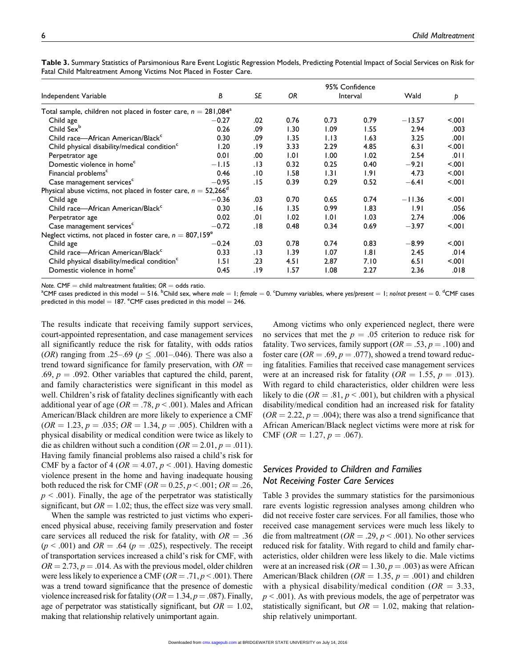|                                                                   | 95% Confidence |           |           |          |      |          |         |
|-------------------------------------------------------------------|----------------|-----------|-----------|----------|------|----------|---------|
| Independent Variable                                              | В              | <b>SE</b> | <b>OR</b> | Interval |      | Wald     | Þ       |
| Total sample, children not placed in foster care, $n = 281,084^a$ |                |           |           |          |      |          |         |
| Child age                                                         | $-0.27$        | .02       | 0.76      | 0.73     | 0.79 | $-13.57$ | $500 -$ |
| Child Sex <sup>b</sup>                                            | 0.26           | .09       | 1.30      | 1.09     | 1.55 | 2.94     | .003    |
| Child race—African American/Black <sup>c</sup>                    | 0.30           | .09       | 1.35      | 1.13     | 1.63 | 3.25     | .001    |
| Child physical disability/medical condition <sup>c</sup>          | 1.20           | ۱9.       | 3.33      | 2.29     | 4.85 | 6.31     | $500 -$ |
| Perpetrator age                                                   | 0.01           | .00       | 1.01      | 1.00     | 1.02 | 2.54     | .011    |
| Domestic violence in home <sup>c</sup>                            | $-1.15$        | . 13      | 0.32      | 0.25     | 0.40 | $-9.21$  | 5.001   |
| Financial problems <sup>c</sup>                                   | 0.46           | ۱٥.       | 1.58      | 1.31     | 1.91 | 4.73     | $500 -$ |
| Case management services <sup>c</sup>                             | $-0.95$        | .15       | 0.39      | 0.29     | 0.52 | $-6.41$  | 5.001   |
| Physical abuse victims, not placed in foster care, $n = 52,266^d$ |                |           |           |          |      |          |         |
| Child age                                                         | $-0.36$        | .03       | 0.70      | 0.65     | 0.74 | $-11.36$ | $500 -$ |
| Child race—African American/Black <sup>c</sup>                    | 0.30           | 16.       | 1.35      | 0.99     | 1.83 | 1.91     | .056    |
| Perpetrator age                                                   | 0.02           | .01       | 1.02      | 1.01     | 1.03 | 2.74     | .006    |
| Case management services <sup>c</sup>                             | $-0.72$        | 18.       | 0.48      | 0.34     | 0.69 | $-3.97$  | $500 -$ |
| Neglect victims, not placed in foster care, $n = 807,159^e$       |                |           |           |          |      |          |         |
| Child age                                                         | $-0.24$        | .03       | 0.78      | 0.74     | 0.83 | $-8.99$  | $500 -$ |
| Child race—African American/Black <sup>c</sup>                    | 0.33           | . 13      | 1.39      | 1.07     | 1.81 | 2.45     | .014    |
| Child physical disability/medical condition <sup>c</sup>          | 1.51           | .23       | 4.51      | 2.87     | 7.10 | 6.51     | $500 -$ |
| Domestic violence in home <sup>c</sup>                            | 0.45           | 19.       | 1.57      | 1.08     | 2.27 | 2.36     | .018    |

Table 3. Summary Statistics of Parsimonious Rare Event Logistic Regression Models, Predicting Potential Impact of Social Services on Risk for Fatal Child Maltreatment Among Victims Not Placed in Foster Care.

Note. CMF  $=$  child maltreatment fatalities; OR  $=$  odds ratio.

CMF cases predicted in this model = 516. <sup>b</sup>Child sex, where male = 1; female = 0. <sup>c</sup>Dummy variables, where yes/present = 1; no/not present = 0. <sup>d</sup>CMF cases predicted in this model  $=$  187.  $^{\circ}$ CMF cases predicted in this model  $=$  246.

The results indicate that receiving family support services, court-appointed representation, and case management services all significantly reduce the risk for fatality, with odds ratios (*OR*) ranging from .25–.69 ( $p \leq .001-0.046$ ). There was also a trend toward significance for family preservation, with  $OR =$ .69,  $p = .092$ . Other variables that captured the child, parent, and family characteristics were significant in this model as well. Children's risk of fatality declines significantly with each additional year of age ( $OR = .78$ ,  $p < .001$ ). Males and African American/Black children are more likely to experience a CMF  $(OR = 1.23, p = .035; OR = 1.34, p = .005)$ . Children with a physical disability or medical condition were twice as likely to die as children without such a condition ( $OR = 2.01$ ,  $p = .011$ ). Having family financial problems also raised a child's risk for CMF by a factor of 4 ( $OR = 4.07$ ,  $p < .001$ ). Having domestic violence present in the home and having inadequate housing both reduced the risk for CMF ( $OR = 0.25$ ,  $p < .001$ ;  $OR = .26$ ,  $p < .001$ ). Finally, the age of the perpetrator was statistically significant, but  $OR = 1.02$ ; thus, the effect size was very small.

When the sample was restricted to just victims who experienced physical abuse, receiving family preservation and foster care services all reduced the risk for fatality, with  $OR = .36$  $(p < .001)$  and  $OR = .64$   $(p = .025)$ , respectively. The receipt of transportation services increased a child's risk for CMF, with  $OR = 2.73$ ,  $p = .014$ . As with the previous model, older children were less likely to experience a CMF ( $OR = .71, p < .001$ ). There was a trend toward significance that the presence of domestic violence increased risk for fatality ( $OR = 1.34$ ,  $p = .087$ ). Finally, age of perpetrator was statistically significant, but  $OR = 1.02$ , making that relationship relatively unimportant again.

Among victims who only experienced neglect, there were no services that met the  $p = .05$  criterion to reduce risk for fatality. Two services, family support ( $OR = .53$ ,  $p = .100$ ) and foster care ( $OR = .69$ ,  $p = .077$ ), showed a trend toward reducing fatalities. Families that received case management services were at an increased risk for fatality ( $OR = 1.55$ ,  $p = .013$ ). With regard to child characteristics, older children were less likely to die ( $OR = .81$ ,  $p < .001$ ), but children with a physical disability/medical condition had an increased risk for fatality  $(OR = 2.22, p = .004)$ ; there was also a trend significance that African American/Black neglect victims were more at risk for CMF ( $OR = 1.27$ ,  $p = .067$ ).

# Services Provided to Children and Families Not Receiving Foster Care Services

Table 3 provides the summary statistics for the parsimonious rare events logistic regression analyses among children who did not receive foster care services. For all families, those who received case management services were much less likely to die from maltreatment ( $OR = .29$ ,  $p < .001$ ). No other services reduced risk for fatality. With regard to child and family characteristics, older children were less likely to die. Male victims were at an increased risk ( $OR = 1.30, p = .003$ ) as were African American/Black children ( $OR = 1.35$ ,  $p = .001$ ) and children with a physical disability/medical condition ( $OR = 3.33$ ,  $p < .001$ ). As with previous models, the age of perpetrator was statistically significant, but  $OR = 1.02$ , making that relationship relatively unimportant.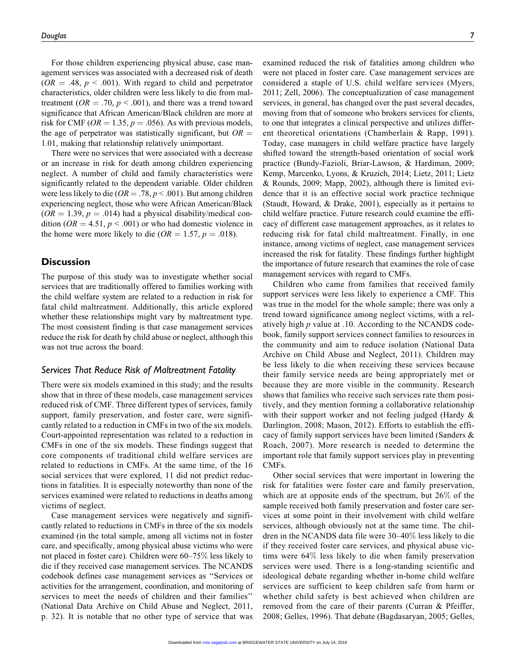For those children experiencing physical abuse, case management services was associated with a decreased risk of death  $(OR = .48, p < .001)$ . With regard to child and perpetrator characteristics, older children were less likely to die from maltreatment ( $OR = .70$ ,  $p < .001$ ), and there was a trend toward significance that African American/Black children are more at risk for CMF ( $OR = 1.35$ ,  $p = .056$ ). As with previous models, the age of perpetrator was statistically significant, but  $OR =$ 1.01, making that relationship relatively unimportant.

There were no services that were associated with a decrease or an increase in risk for death among children experiencing neglect. A number of child and family characteristics were significantly related to the dependent variable. Older children were less likely to die ( $OR = .78$ ,  $p < .001$ ). But among children experiencing neglect, those who were African American/Black  $(OR = 1.39, p = .014)$  had a physical disability/medical condition ( $OR = 4.51$ ,  $p < .001$ ) or who had domestic violence in the home were more likely to die ( $OR = 1.57$ ,  $p = .018$ ).

## **Discussion**

The purpose of this study was to investigate whether social services that are traditionally offered to families working with the child welfare system are related to a reduction in risk for fatal child maltreatment. Additionally, this article explored whether these relationships might vary by maltreatment type. The most consistent finding is that case management services reduce the risk for death by child abuse or neglect, although this was not true across the board.

## Services That Reduce Risk of Maltreatment Fatality

There were six models examined in this study; and the results show that in three of these models, case management services reduced risk of CMF. Three different types of services, family support, family preservation, and foster care, were significantly related to a reduction in CMFs in two of the six models. Court-appointed representation was related to a reduction in CMFs in one of the six models. These findings suggest that core components of traditional child welfare services are related to reductions in CMFs. At the same time, of the 16 social services that were explored, 11 did not predict reductions in fatalities. It is especially noteworthy than none of the services examined were related to reductions in deaths among victims of neglect.

Case management services were negatively and significantly related to reductions in CMFs in three of the six models examined (in the total sample, among all victims not in foster care, and specifically, among physical abuse victims who were not placed in foster care). Children were 60–75% less likely to die if they received case management services. The NCANDS codebook defines case management services as ''Services or activities for the arrangement, coordination, and monitoring of services to meet the needs of children and their families'' (National Data Archive on Child Abuse and Neglect, 2011, p. 32). It is notable that no other type of service that was examined reduced the risk of fatalities among children who were not placed in foster care. Case management services are considered a staple of U.S. child welfare services (Myers, 2011; Zell, 2006). The conceptualization of case management services, in general, has changed over the past several decades, moving from that of someone who brokers services for clients, to one that integrates a clinical perspective and utilizes different theoretical orientations (Chamberlain & Rapp, 1991). Today, case managers in child welfare practice have largely shifted toward the strength-based orientation of social work practice (Bundy-Fazioli, Briar-Lawson, & Hardiman, 2009; Kemp, Marcenko, Lyons, & Kruzich, 2014; Lietz, 2011; Lietz & Rounds, 2009; Mapp, 2002), although there is limited evidence that it is an effective social work practice technique (Staudt, Howard, & Drake, 2001), especially as it pertains to child welfare practice. Future research could examine the efficacy of different case management approaches, as it relates to reducing risk for fatal child maltreatment. Finally, in one instance, among victims of neglect, case management services increased the risk for fatality. These findings further highlight the importance of future research that examines the role of case management services with regard to CMFs.

Children who came from families that received family support services were less likely to experience a CMF. This was true in the model for the whole sample; there was only a trend toward significance among neglect victims, with a relatively high p value at .10. According to the NCANDS codebook, family support services connect families to resources in the community and aim to reduce isolation (National Data Archive on Child Abuse and Neglect, 2011). Children may be less likely to die when receiving these services because their family service needs are being appropriately met or because they are more visible in the community. Research shows that families who receive such services rate them positively, and they mention forming a collaborative relationship with their support worker and not feeling judged (Hardy & Darlington, 2008; Mason, 2012). Efforts to establish the efficacy of family support services have been limited (Sanders & Roach, 2007). More research is needed to determine the important role that family support services play in preventing CMFs.

Other social services that were important in lowering the risk for fatalities were foster care and family preservation, which are at opposite ends of the spectrum, but 26% of the sample received both family preservation and foster care services at some point in their involvement with child welfare services, although obviously not at the same time. The children in the NCANDS data file were 30–40% less likely to die if they received foster care services, and physical abuse victims were 64% less likely to die when family preservation services were used. There is a long-standing scientific and ideological debate regarding whether in-home child welfare services are sufficient to keep children safe from harm or whether child safety is best achieved when children are removed from the care of their parents (Curran & Pfeiffer, 2008; Gelles, 1996). That debate (Bagdasaryan, 2005; Gelles,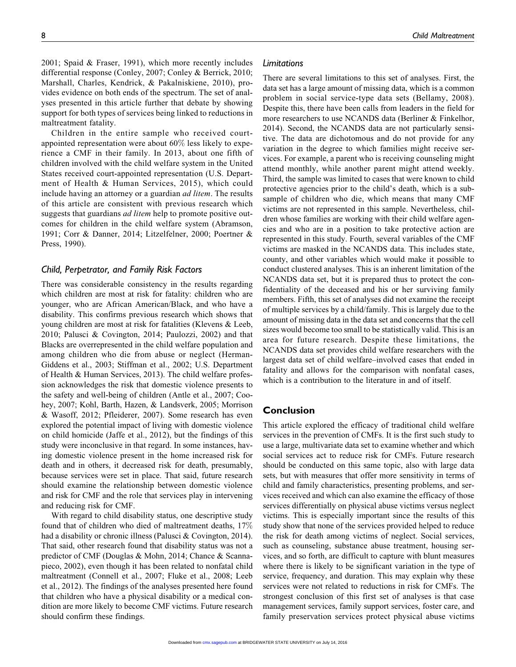2001; Spaid & Fraser, 1991), which more recently includes differential response (Conley, 2007; Conley & Berrick, 2010; Marshall, Charles, Kendrick, & Pakalniskiene, 2010), provides evidence on both ends of the spectrum. The set of analyses presented in this article further that debate by showing support for both types of services being linked to reductions in maltreatment fatality.

Children in the entire sample who received courtappointed representation were about 60% less likely to experience a CMF in their family. In 2013, about one fifth of children involved with the child welfare system in the United States received court-appointed representation (U.S. Department of Health & Human Services, 2015), which could include having an attorney or a guardian *ad litem*. The results of this article are consistent with previous research which suggests that guardians *ad litem* help to promote positive outcomes for children in the child welfare system (Abramson, 1991; Corr & Danner, 2014; Litzelfelner, 2000; Poertner & Press, 1990).

### Child, Perpetrator, and Family Risk Factors

There was considerable consistency in the results regarding which children are most at risk for fatality: children who are younger, who are African American/Black, and who have a disability. This confirms previous research which shows that young children are most at risk for fatalities (Klevens & Leeb, 2010; Palusci & Covington, 2014; Paulozzi, 2002) and that Blacks are overrepresented in the child welfare population and among children who die from abuse or neglect (Herman-Giddens et al., 2003; Stiffman et al., 2002; U.S. Department of Health & Human Services, 2013). The child welfare profession acknowledges the risk that domestic violence presents to the safety and well-being of children (Antle et al., 2007; Coohey, 2007; Kohl, Barth, Hazen, & Landsverk, 2005; Morrison & Wasoff, 2012; Pfleiderer, 2007). Some research has even explored the potential impact of living with domestic violence on child homicide (Jaffe et al., 2012), but the findings of this study were inconclusive in that regard. In some instances, having domestic violence present in the home increased risk for death and in others, it decreased risk for death, presumably, because services were set in place. That said, future research should examine the relationship between domestic violence and risk for CMF and the role that services play in intervening and reducing risk for CMF.

With regard to child disability status, one descriptive study found that of children who died of maltreatment deaths, 17% had a disability or chronic illness (Palusci & Covington, 2014). That said, other research found that disability status was not a predictor of CMF (Douglas & Mohn, 2014; Chance & Scannapieco, 2002), even though it has been related to nonfatal child maltreatment (Connell et al., 2007; Fluke et al., 2008; Leeb et al., 2012). The findings of the analyses presented here found that children who have a physical disability or a medical condition are more likely to become CMF victims. Future research should confirm these findings.

## Limitations

There are several limitations to this set of analyses. First, the data set has a large amount of missing data, which is a common problem in social service-type data sets (Bellamy, 2008). Despite this, there have been calls from leaders in the field for more researchers to use NCANDS data (Berliner & Finkelhor, 2014). Second, the NCANDS data are not particularly sensitive. The data are dichotomous and do not provide for any variation in the degree to which families might receive services. For example, a parent who is receiving counseling might attend monthly, while another parent might attend weekly. Third, the sample was limited to cases that were known to child protective agencies prior to the child's death, which is a subsample of children who die, which means that many CMF victims are not represented in this sample. Nevertheless, children whose families are working with their child welfare agencies and who are in a position to take protective action are represented in this study. Fourth, several variables of the CMF victims are masked in the NCANDS data. This includes state, county, and other variables which would make it possible to conduct clustered analyses. This is an inherent limitation of the NCANDS data set, but it is prepared thus to protect the confidentiality of the deceased and his or her surviving family members. Fifth, this set of analyses did not examine the receipt of multiple services by a child/family. This is largely due to the amount of missing data in the data set and concerns that the cell sizes would become too small to be statistically valid. This is an area for future research. Despite these limitations, the NCANDS data set provides child welfare researchers with the largest data set of child welfare–involved cases that ended in fatality and allows for the comparison with nonfatal cases, which is a contribution to the literature in and of itself.

### Conclusion

This article explored the efficacy of traditional child welfare services in the prevention of CMFs. It is the first such study to use a large, multivariate data set to examine whether and which social services act to reduce risk for CMFs. Future research should be conducted on this same topic, also with large data sets, but with measures that offer more sensitivity in terms of child and family characteristics, presenting problems, and services received and which can also examine the efficacy of those services differentially on physical abuse victims versus neglect victims. This is especially important since the results of this study show that none of the services provided helped to reduce the risk for death among victims of neglect. Social services, such as counseling, substance abuse treatment, housing services, and so forth, are difficult to capture with blunt measures where there is likely to be significant variation in the type of service, frequency, and duration. This may explain why these services were not related to reductions in risk for CMFs. The strongest conclusion of this first set of analyses is that case management services, family support services, foster care, and family preservation services protect physical abuse victims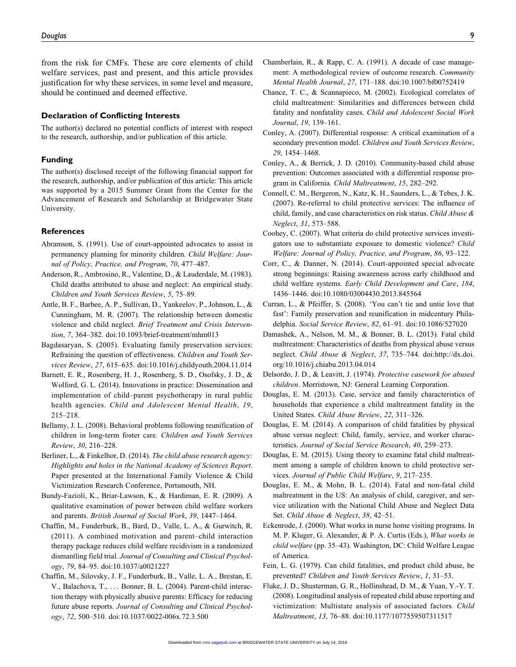from the risk for CMFs. These are core elements of child welfare services, past and present, and this article provides justification for why these services, in some level and measure, should be continued and deemed effective.

#### Declaration of Conflicting Interests

The author(s) declared no potential conflicts of interest with respect to the research, authorship, and/or publication of this article.

#### Funding

The author(s) disclosed receipt of the following financial support for the research, authorship, and/or publication of this article: This article was supported by a 2015 Summer Grant from the Center for the Advancement of Research and Scholarship at Bridgewater State University.

#### **References**

- Abramson, S. (1991). Use of court-appointed advocates to assist in permanency planning for minority children. Child Welfare: Journal of Policy, Practice, and Program, 70, 477–487.
- Anderson, R., Ambrosino, R., Valentine, D., & Lauderdale, M. (1983). Child deaths attributed to abuse and neglect: An empirical study. Children and Youth Services Review, 5, 75–89.
- Antle, B. F., Barbee, A. P., Sullivan, D., Yankeelov, P., Johnson, L., & Cunningham, M. R. (2007). The relationship between domestic violence and child neglect. Brief Treatment and Crisis Intervention, 7, 364–382. doi:10.1093/brief-treatment/mhm013
- Bagdasaryan, S. (2005). Evaluating family preservation services: Refraining the question of effectiveness. Children and Youth Services Review, 27, 615–635. doi:10.1016/j.childyouth.2004.11.014
- Barnett, E. R., Rosenberg, H. J., Rosenberg, S. D., Osofsky, J. D., & Wolford, G. L. (2014). Innovations in practice: Dissemination and implementation of child–parent psychotherapy in rural public health agencies. Child and Adolescent Mental Health, 19, 215–218.
- Bellamy, J. L. (2008). Behavioral problems following reunification of children in long-term foster care. Children and Youth Services Review, 30, 216–228.
- Berliner, L., & Finkelhor, D. (2014). The child abuse research agency: Highlights and holes in the National Academy of Sciences Report. Paper presented at the International Family Violence & Child Victimization Research Conference, Portsmouth, NH.
- Bundy-Fazioli, K., Briar-Lawson, K., & Hardiman, E. R. (2009). A qualitative examination of power between child welfare workers and parents. British Journal of Social Work, 39, 1447–1464.
- Chaffin, M., Funderburk, B., Bard, D., Valle, L. A., & Gurwitch, R. (2011). A combined motivation and parent–child interaction therapy package reduces child welfare recidivism in a randomized dismantling field trial. Journal of Consulting and Clinical Psychology, 79, 84–95. doi:10.1037/a0021227
- Chaffin, M., Silovsky, J. F., Funderburk, B., Valle, L. A., Brestan, E. V., Balachova, T., ... Bonner, B. L. (2004). Parent-child interaction therapy with physically abusive parents: Efficacy for reducing future abuse reports. Journal of Consulting and Clinical Psychology, 72, 500–510. doi:10.1037/0022-006x.72.3.500
- Chamberlain, R., & Rapp, C. A. (1991). A decade of case management: A methodological review of outcome research. Community Mental Health Journal, 27, 171–188. doi:10.1007/bf00752419
- Chance, T. C., & Scannapieco, M. (2002). Ecological correlates of child maltreatment: Similarities and differences between child fatality and nonfatality cases. Child and Adolescent Social Work Journal, 19, 139–161.
- Conley, A. (2007). Differential response: A critical examination of a secondary prevention model. Children and Youth Services Review, 29, 1454–1468.
- Conley, A., & Berrick, J. D. (2010). Community-based child abuse prevention: Outcomes associated with a differential response program in California. Child Maltreatment, 15, 282–292.
- Connell, C. M., Bergeron, N., Katz, K. H., Saunders, L., & Tebes, J. K. (2007). Re-referral to child protective services: The influence of child, family, and case characteristics on risk status. Child Abuse & Neglect, 31, 573–588.
- Coohey, C. (2007). What criteria do child protective services investigators use to substantiate exposure to domestic violence? Child Welfare: Journal of Policy, Practice, and Program, 86, 93–122.
- Corr, C., & Danner, N. (2014). Court-appointed special advocate strong beginnings: Raising awareness across early childhood and child welfare systems. Early Child Development and Care, 184, 1436–1446. doi:10.1080/03004430.2013.845564
- Curran, L., & Pfeiffer, S. (2008). 'You can't tie and untie love that fast': Family preservation and reunification in midcentury Philadelphia. Social Service Review, 82, 61–91. doi:10.1086/527020
- Damashek, A., Nelson, M. M., & Bonner, B. L. (2013). Fatal child maltreatment: Characteristics of deaths from physical abuse versus neglect. Child Abuse & Neglect, 37, 735–744. doi[:http://dx.doi.](http://dx.doi.org/10.1016/j.chiabu.2013.04.014) [org/10.1016/j.chiabu.2013.04.014](http://dx.doi.org/10.1016/j.chiabu.2013.04.014)
- Delsordo, J. D., & Leavitt, J. (1974). Protective casework for abused children. Morristown, NJ: General Learning Corporation.
- Douglas, E. M. (2013). Case, service and family characteristics of households that experience a child maltreatment fatality in the United States. Child Abuse Review, 22, 311–326.
- Douglas, E. M. (2014). A comparison of child fatalities by physical abuse versus neglect: Child, family, service, and worker characteristics. Journal of Social Service Research, 40, 259–273.
- Douglas, E. M. (2015). Using theory to examine fatal child maltreatment among a sample of children known to child protective services. Journal of Public Child Welfare, 9, 217–235.
- Douglas, E. M., & Mohn, B. L. (2014). Fatal and non-fatal child maltreatment in the US: An analysis of child, caregiver, and service utilization with the National Child Abuse and Neglect Data Set. Child Abuse & Neglect, 38, 42–51.
- Eckenrode, J. (2000). What works in nurse home visiting programs. In M. P. Kluger, G. Alexander, & P. A. Curtis (Eds.), What works in child welfare (pp. 35–43). Washington, DC: Child Welfare League of America.
- Fein, L. G. (1979). Can child fatalities, end product child abuse, be prevented? Children and Youth Services Review, 1, 31–53.
- Fluke, J. D., Shusterman, G. R., Hollinshead, D. M., & Yuan, Y.-Y. T. (2008). Longitudinal analysis of repeated child abuse reporting and victimization: Multistate analysis of associated factors. Child Maltreatment, 13, 76–88. doi:10.1177/1077559507311517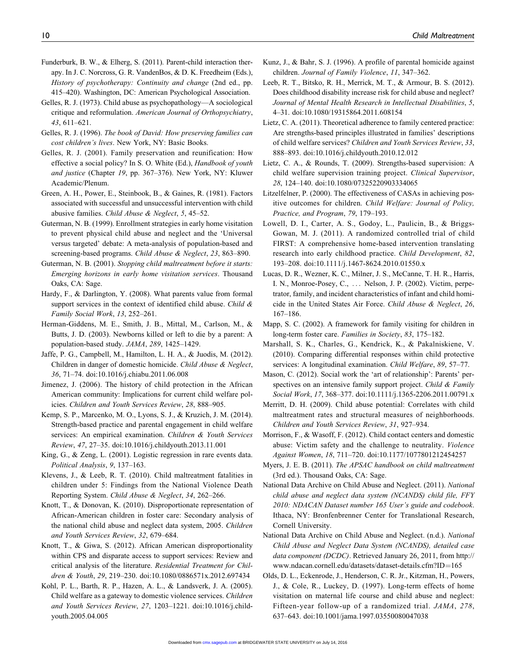- Funderburk, B. W., & Elherg, S. (2011). Parent-child interaction therapy. In J. C. Norcross, G. R. VandenBos, & D. K. Freedheim (Eds.), History of psychotherapy: Continuity and change (2nd ed., pp. 415–420). Washington, DC: American Psychological Association.
- Gelles, R. J. (1973). Child abuse as psychopathology—A sociological critique and reformulation. American Journal of Orthopsychiatry, 43, 611–621.
- Gelles, R. J. (1996). The book of David: How preserving families can cost children's lives. New York, NY: Basic Books.
- Gelles, R. J. (2001). Family preservation and reunification: How effective a social policy? In S. O. White (Ed.), Handbook of youth and justice (Chapter 19, pp. 367–376). New York, NY: Kluwer Academic/Plenum.
- Green, A. H., Power, E., Steinbook, B., & Gaines, R. (1981). Factors associated with successful and unsuccessful intervention with child abusive families. Child Abuse & Neglect, 5, 45–52.
- Guterman, N. B. (1999). Enrollment strategies in early home visitation to prevent physical child abuse and neglect and the 'Universal versus targeted' debate: A meta-analysis of population-based and screening-based programs. Child Abuse & Neglect, 23, 863-890.
- Guterman, N. B. (2001). Stopping child maltreatment before it starts: Emerging horizons in early home visitation services. Thousand Oaks, CA: Sage.
- Hardy, F., & Darlington, Y. (2008). What parents value from formal support services in the context of identified child abuse. Child & Family Social Work, 13, 252–261.
- Herman-Giddens, M. E., Smith, J. B., Mittal, M., Carlson, M., & Butts, J. D. (2003). Newborns killed or left to die by a parent: A population-based study. JAMA, 289, 1425–1429.
- Jaffe, P. G., Campbell, M., Hamilton, L. H. A., & Juodis, M. (2012). Children in danger of domestic homicide. Child Abuse & Neglect, 36, 71–74. doi:10.1016/j.chiabu.2011.06.008
- Jimenez, J. (2006). The history of child protection in the African American community: Implications for current child welfare policies. Children and Youth Services Review, 28, 888–905.
- Kemp, S. P., Marcenko, M. O., Lyons, S. J., & Kruzich, J. M. (2014). Strength-based practice and parental engagement in child welfare services: An empirical examination. Children & Youth Services Review, 47, 27–35. doi:10.1016/j.childyouth.2013.11.001
- King, G., & Zeng, L. (2001). Logistic regression in rare events data. Political Analysis, 9, 137–163.
- Klevens, J., & Leeb, R. T. (2010). Child maltreatment fatalities in children under 5: Findings from the National Violence Death Reporting System. Child Abuse & Neglect, 34, 262–266.
- Knott, T., & Donovan, K. (2010). Disproportionate representation of African-American children in foster care: Secondary analysis of the national child abuse and neglect data system, 2005. Children and Youth Services Review, 32, 679–684.
- Knott, T., & Giwa, S. (2012). African American disproportionality within CPS and disparate access to support services: Review and critical analysis of the literature. Residential Treatment for Children & Youth, 29, 219–230. doi:10.1080/0886571x.2012.697434
- Kohl, P. L., Barth, R. P., Hazen, A. L., & Landsverk, J. A. (2005). Child welfare as a gateway to domestic violence services. Children and Youth Services Review, 27, 1203–1221. doi:10.1016/j.childyouth.2005.04.005
- Kunz, J., & Bahr, S. J. (1996). A profile of parental homicide against children. Journal of Family Violence, 11, 347–362.
- Leeb, R. T., Bitsko, R. H., Merrick, M. T., & Armour, B. S. (2012). Does childhood disability increase risk for child abuse and neglect? Journal of Mental Health Research in Intellectual Disabilities, 5, 4–31. doi:10.1080/19315864.2011.608154
- Lietz, C. A. (2011). Theoretical adherence to family centered practice: Are strengths-based principles illustrated in families' descriptions of child welfare services? Children and Youth Services Review, 33, 888–893. doi:10.1016/j.childyouth.2010.12.012
- Lietz, C. A., & Rounds, T. (2009). Strengths-based supervision: A child welfare supervision training project. Clinical Supervisor, 28, 124–140. doi:10.1080/07325220903334065
- Litzelfelner, P. (2000). The effectiveness of CASAs in achieving positive outcomes for children. Child Welfare: Journal of Policy, Practice, and Program, 79, 179–193.
- Lowell, D. I., Carter, A. S., Godoy, L., Paulicin, B., & Briggs-Gowan, M. J. (2011). A randomized controlled trial of child FIRST: A comprehensive home-based intervention translating research into early childhood practice. Child Development, 82, 193–208. doi:10.1111/j.1467-8624.2010.01550.x
- Lucas, D. R., Wezner, K. C., Milner, J. S., McCanne, T. H. R., Harris, I. N., Monroe-Posey, C., ... Nelson, J. P. (2002). Victim, perpetrator, family, and incident characteristics of infant and child homicide in the United States Air Force. Child Abuse & Neglect, 26, 167–186.
- Mapp, S. C. (2002). A framework for family visiting for children in long-term foster care. Families in Society, 83, 175–182.
- Marshall, S. K., Charles, G., Kendrick, K., & Pakalniskiene, V. (2010). Comparing differential responses within child protective services: A longitudinal examination. Child Welfare, 89, 57–77.
- Mason, C. (2012). Social work the 'art of relationship': Parents' perspectives on an intensive family support project. Child & Family Social Work, 17, 368–377. doi:10.1111/j.1365-2206.2011.00791.x
- Merritt, D. H. (2009). Child abuse potential: Correlates with child maltreatment rates and structural measures of neighborhoods. Children and Youth Services Review, 31, 927–934.
- Morrison, F., & Wasoff, F. (2012). Child contact centers and domestic abuse: Victim safety and the challenge to neutrality. Violence Against Women, 18, 711–720. doi:10.1177/1077801212454257
- Myers, J. E. B. (2011). The APSAC handbook on child maltreatment (3rd ed.). Thousand Oaks, CA: Sage.
- National Data Archive on Child Abuse and Neglect. (2011). National child abuse and neglect data system (NCANDS) child file, FFY 2010: NDACAN Dataset number 165 User's guide and codebook. Ithaca, NY: Bronfenbrenner Center for Translational Research, Cornell University.
- National Data Archive on Child Abuse and Neglect. (n.d.). National Child Abuse and Neglect Data System (NCANDS), detailed case data component (DCDC). Retrieved January 26, 2011, from [http://](http://www.ndacan.cornell.edu/datasets/dataset-details.cfm?ID=165) [www.ndacan.cornell.edu/datasets/dataset-details.cfm?ID](http://www.ndacan.cornell.edu/datasets/dataset-details.cfm?ID=165)=[165](http://www.ndacan.cornell.edu/datasets/dataset-details.cfm?ID=165)
- Olds, D. L., Eckenrode, J., Henderson, C. R. Jr., Kitzman, H., Powers, J., & Cole, R., Luckey, D. (1997). Long-term effects of home visitation on maternal life course and child abuse and neglect: Fifteen-year follow-up of a randomized trial. JAMA, 278, 637–643. doi:10.1001/jama.1997.03550080047038